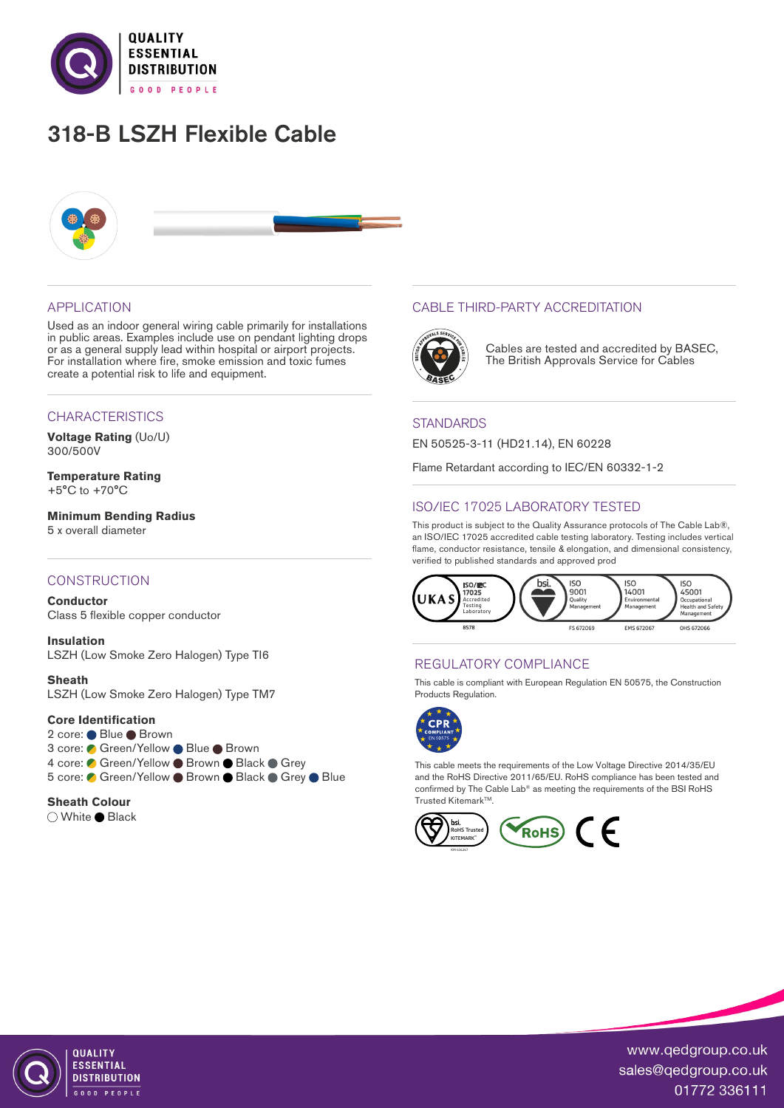

# 318-B LSZH Flexible Cable



## APPLICATION

Used as an indoor general wiring cable primarily for installations in public areas. Examples include use on pendant lighting drops or as a general supply lead within hospital or airport projects. For installation where fire, smoke emission and toxic fumes create a potential risk to life and equipment.

#### CHARACTERISTICS

**Voltage Rating** (Uo/U) 300/500V

**Temperature Rating** +5°C to +70°C

**Minimum Bending Radius**  5 x overall diameter

## **CONSTRUCTION**

**Conductor** Class 5 flexible copper conductor

**Insulation** LSZH (Low Smoke Zero Halogen) Type TI6

**Sheath** LSZH (Low Smoke Zero Halogen) Type TM7

#### **Core Identification**

2 core: ● Blue ● Brown 3 core: ● Green/Yellow ● Blue ● Brown 4 core: Green/Yellow Brown Black Grey 5 core: Green/Yellow Brown Black Grey Blue

#### **Sheath Colour**

○ White ● Black

## CABLE THIRD-PARTY ACCREDITATION



Cables are tested and accredited by BASEC, The British Approvals Service for Cables

## **STANDARDS**

EN 50525-3-11 (HD21.14), EN 60228

Flame Retardant according to IEC/EN 60332-1-2

# ISO/IEC 17025 LABORATORY TESTED

This product is subject to the Quality Assurance protocols of The Cable Lab®, an ISO/IEC 17025 accredited cable testing laboratory. Testing includes vertical flame, conductor resistance, tensile & elongation, and dimensional consistency, verified to published standards and approved prod



## REGULATORY COMPLIANCE

This cable is compliant with European Regulation EN 50575, the Construction Products Regulation.



This cable meets the requirements of the Low Voltage Directive 2014/35/EU and the RoHS Directive 2011/65/EU. RoHS compliance has been tested and confirmed by The Cable Lab® as meeting the requirements of the BSI RoHS Trusted Kitemark<sup>™</sup>.





QUALITY **FSSENTIAL DISTRIBUTION** OD PEOPLE

www.qedgroup.co.uk sales@qedgroup.co.uk 01772 336111